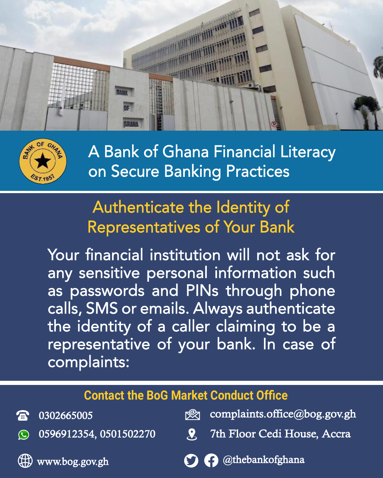



# Authenticate the Identity of Representatives of Your Bank

Your financial institution will not ask for any sensitive personal information such as passwords and PINs through phone calls, SMS or emails. Always authenticate the identity of a caller claiming to be a representative of your bank. In case of complaints:

#### Contact the BoG Market Conduct Office

| <b>a</b> 0302665005            | seg complaints.office@bog.gov.gh     |
|--------------------------------|--------------------------------------|
| $\odot$ 0596912354, 0501502270 | <b>R</b> 7th Floor Cedi House, Accra |
| Www.bog.gov.gh                 | O O @thebankofghana                  |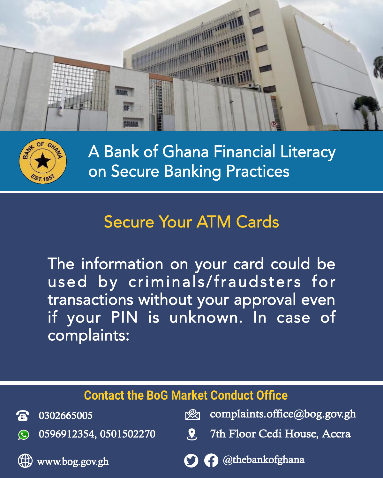



## Secure Your ATM Cards

The information on your card could be used by criminals/fraudsters for transactions without your approval even if your PIN is unknown. In case of complaints:

| <b>Contact the BoG Market Conduct Office</b> |                                |            |                              |  |
|----------------------------------------------|--------------------------------|------------|------------------------------|--|
| 盒.                                           | 0302665005                     | r®zn       | complaints.office@bog.gov.gh |  |
|                                              | $\odot$ 0596912354, 0501502270 | <b>AST</b> | 7th Floor Cedi House, Accra  |  |
|                                              | Www.bog.gov.gh                 |            | O O @thebankofghana          |  |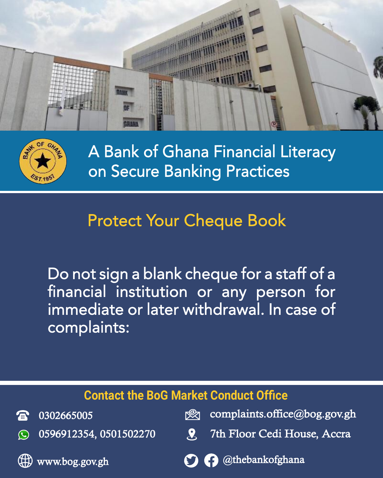



## Protect Your Cheque Book

Do not sign a blank cheque for a staff of a financial institution or any person for immediate or later withdrawal. In case of complaints:

| <b>Contact the BoG Market Conduct Office</b> |                                |            |                              |  |
|----------------------------------------------|--------------------------------|------------|------------------------------|--|
|                                              | <b>a</b> 0302665005            | гØл        | complaints.office@bog.gov.gh |  |
|                                              | $\odot$ 0596912354, 0501502270 | <b>AST</b> | 7th Floor Cedi House, Accra  |  |
|                                              | www.bog.gov.gh                 |            | O O @thebankofghana          |  |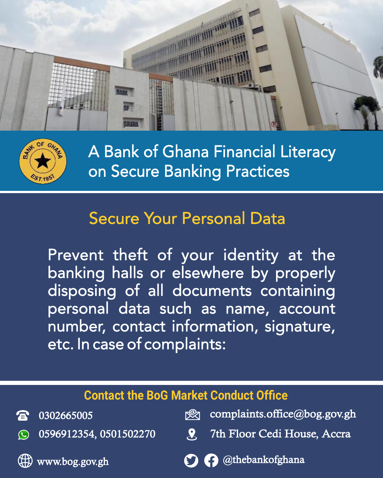



## Secure Your Personal Data

Prevent theft of your identity at the banking halls or elsewhere by properly disposing of all documents containing personal data such as name, account number, contact information, signature, etc. In case of complaints:

| <b>Contact the BoG Market Conduct Office</b> |                                |      |                              |  |
|----------------------------------------------|--------------------------------|------|------------------------------|--|
| $\mathbb{R}$ .                               | 0302665005                     | r≌zı | complaints.office@bog.gov.gh |  |
|                                              | $\odot$ 0596912354, 0501502270 | 79 7 | 7th Floor Cedi House, Accra  |  |
|                                              | $\bigoplus$ www.bog.gov.gh     |      | O O @thebankofghana          |  |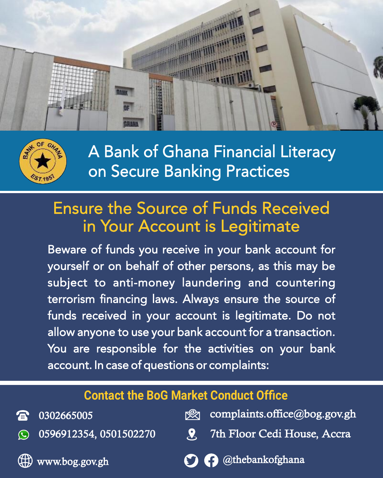



### Ensure the Source of Funds Received in Your Account is Legitimate

Beware of funds you receive in your bank account for yourself or on behalf of other persons, as this may be subject to anti-money laundering and countering terrorism financing laws. Always ensure the source of funds received in your account is legitimate. Do not allow anyone to use your bank account for a transaction. You are responsible for the activities on your bank account. In case of questions or complaints:

#### Contact the BoG Market Conduct Office

| <b>雷</b> 0302665005            | complaints.office@bog.gov.gh         |
|--------------------------------|--------------------------------------|
| $\odot$ 0596912354, 0501502270 | <b>2</b> 7th Floor Cedi House, Accra |
| Www.bog.gov.gh                 | O O @thebankofghana                  |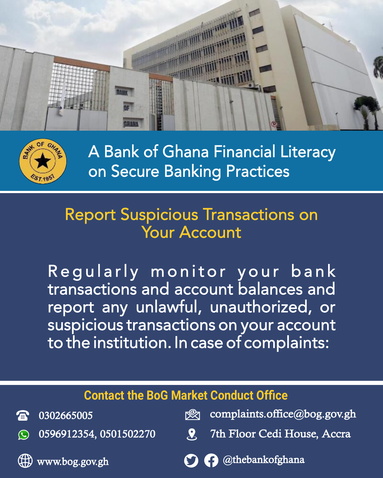



### Report Suspicious Transactions on Your Account

Regularly monitor your bank transactions and account balances and report any unlawful, unauthorized, or suspicious transactions on your account to the institution. In case of complaints:

| <b>Contact the BoG Market Conduct Office</b> |                                |            |                              |  |
|----------------------------------------------|--------------------------------|------------|------------------------------|--|
|                                              | <b>a</b> 0302665005            | r≌zı       | complaints.office@bog.gov.gh |  |
|                                              | $\odot$ 0596912354, 0501502270 | <b>A'D</b> | 7th Floor Cedi House, Accra  |  |
|                                              | $\bigoplus$ www.bog.gov.gh     |            | O O @thebankofghana          |  |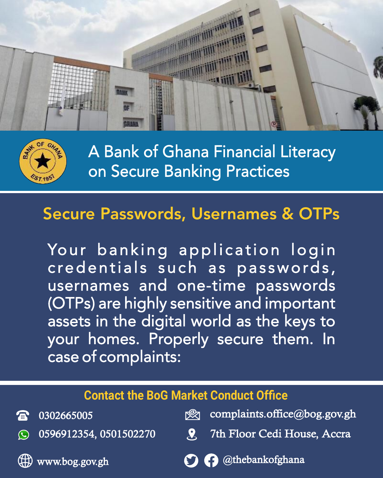



### Secure Passwords, Usernames & OTPs

Your banking application login credentials such as passwords, usernames and one-time passwords (OTPs) are highly sensitive and important assets in the digital world as the keys to your homes. Properly secure them. In case of complaints:

| <b>Contact the BoG Market Conduct Office</b> |                                |             |                              |  |
|----------------------------------------------|--------------------------------|-------------|------------------------------|--|
|                                              | <b>a</b> 0302665005            | r®zn        | complaints.office@bog.gov.gh |  |
|                                              | $\odot$ 0596912354, 0501502270 | <b>KY T</b> | 7th Floor Cedi House, Accra  |  |
|                                              | Www.bog.gov.gh                 |             | O @thebankofghana            |  |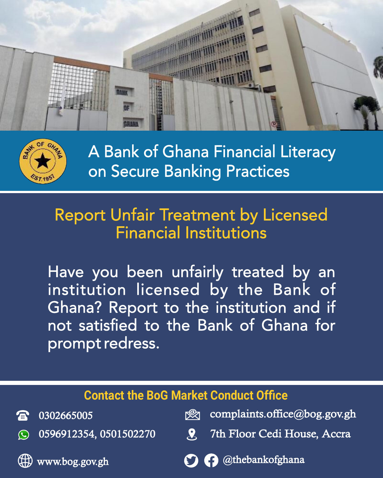



## Report Unfair Treatment by Licensed Financial Institutions

Have you been unfairly treated by an institution licensed by the Bank of Ghana? Report to the institution and if not satisfied to the Bank of Ghana for prompt redress.

| <b>Contact the BoG Market Conduct Office</b> |                                |      |                              |  |
|----------------------------------------------|--------------------------------|------|------------------------------|--|
|                                              | <b>雷</b> 0302665005            | r®zn | complaints.office@bog.gov.gh |  |
|                                              | $\odot$ 0596912354, 0501502270 | 29 T | 7th Floor Cedi House, Accra  |  |
|                                              | www.bog.gov.gh                 |      | O @thebankofghana            |  |